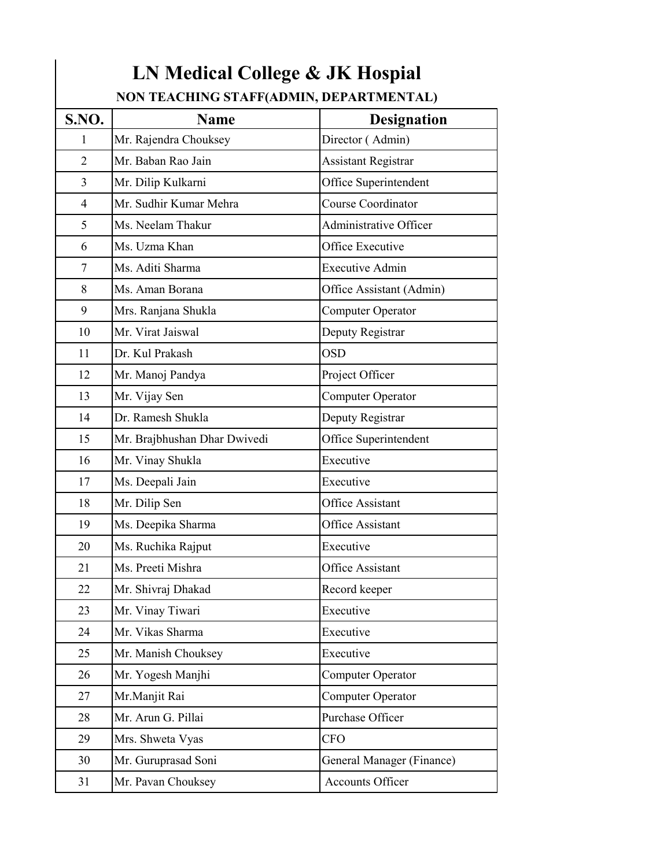| <b>S.NO.</b>   | <b>Name</b>                  | <b>Designation</b>         |
|----------------|------------------------------|----------------------------|
| 1              | Mr. Rajendra Chouksey        | Director (Admin)           |
| $\overline{2}$ | Mr. Baban Rao Jain           | <b>Assistant Registrar</b> |
| 3              | Mr. Dilip Kulkarni           | Office Superintendent      |
| 4              | Mr. Sudhir Kumar Mehra       | <b>Course Coordinator</b>  |
| 5              | Ms. Neelam Thakur            | Administrative Officer     |
| 6              | Ms. Uzma Khan                | Office Executive           |
| 7              | Ms. Aditi Sharma             | <b>Executive Admin</b>     |
| 8              | Ms. Aman Borana              | Office Assistant (Admin)   |
| 9              | Mrs. Ranjana Shukla          | Computer Operator          |
| 10             | Mr. Virat Jaiswal            | Deputy Registrar           |
| 11             | Dr. Kul Prakash              | OSD                        |
| 12             | Mr. Manoj Pandya             | Project Officer            |
| 13             | Mr. Vijay Sen                | Computer Operator          |
| 14             | Dr. Ramesh Shukla            | Deputy Registrar           |
| 15             | Mr. Brajbhushan Dhar Dwivedi | Office Superintendent      |
| 16             | Mr. Vinay Shukla             | Executive                  |
| 17             | Ms. Deepali Jain             | Executive                  |
| 18             | Mr. Dilip Sen                | <b>Office Assistant</b>    |
| 19             | Ms. Deepika Sharma           | Office Assistant           |
| 20             | Ms. Ruchika Rajput           | Executive                  |
| 21             | Ms. Preeti Mishra            | Office Assistant           |
| 22             | Mr. Shivraj Dhakad           | Record keeper              |
| 23             | Mr. Vinay Tiwari             | Executive                  |
| 24             | Mr. Vikas Sharma             | Executive                  |
| 25             | Mr. Manish Chouksey          | Executive                  |
| 26             | Mr. Yogesh Manjhi            | Computer Operator          |
| 27             | Mr.Manjit Rai                | Computer Operator          |
| 28             | Mr. Arun G. Pillai           | Purchase Officer           |
| 29             | Mrs. Shweta Vyas             | <b>CFO</b>                 |
| 30             | Mr. Guruprasad Soni          | General Manager (Finance)  |
| 31             | Mr. Pavan Chouksey           | Accounts Officer           |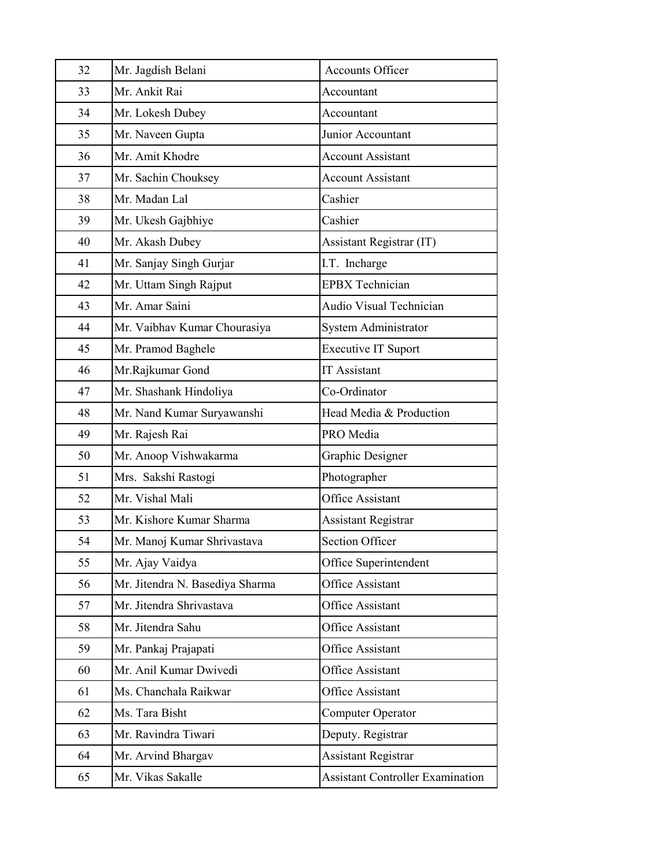| 32 | Mr. Jagdish Belani              | <b>Accounts Officer</b>        |
|----|---------------------------------|--------------------------------|
| 33 | Mr. Ankit Rai                   | Accountant                     |
| 34 | Mr. Lokesh Dubey                | Accountant                     |
| 35 | Mr. Naveen Gupta                | Junior Accountant              |
| 36 | Mr. Amit Khodre                 | <b>Account Assistant</b>       |
| 37 | Mr. Sachin Chouksey             | <b>Account Assistant</b>       |
| 38 | Mr. Madan Lal                   | Cashier                        |
| 39 | Mr. Ukesh Gajbhiye              | Cashier                        |
| 40 | Mr. Akash Dubey                 | Assistant Registrar (IT)       |
| 41 | Mr. Sanjay Singh Gurjar         | I.T. Incharge                  |
| 42 | Mr. Uttam Singh Rajput          | <b>EPBX</b> Technician         |
| 43 | Mr. Amar Saini                  | <b>Audio Visual Technician</b> |
| 44 | Mr. Vaibhav Kumar Chourasiya    | System Administrator           |
| 45 | Mr. Pramod Baghele              | <b>Executive IT Suport</b>     |
| 46 | Mr.Rajkumar Gond                | <b>IT</b> Assistant            |
| 47 | Mr. Shashank Hindoliya          | Co-Ordinator                   |
| 48 | Mr. Nand Kumar Suryawanshi      | Head Media & Production        |
|    |                                 |                                |
| 49 | Mr. Rajesh Rai                  | PRO Media                      |
| 50 | Mr. Anoop Vishwakarma           | Graphic Designer               |
| 51 | Mrs. Sakshi Rastogi             | Photographer                   |
| 52 | Mr. Vishal Mali                 | <b>Office Assistant</b>        |
| 53 | Mr. Kishore Kumar Sharma        | <b>Assistant Registrar</b>     |
| 54 | Mr. Manoj Kumar Shrivastava     | <b>Section Officer</b>         |
| 55 | Mr. Ajay Vaidya                 | Office Superintendent          |
| 56 | Mr. Jitendra N. Basediya Sharma | Office Assistant               |
| 57 | Mr. Jitendra Shrivastava        | Office Assistant               |
| 58 | Mr. Jitendra Sahu               | <b>Office Assistant</b>        |
| 59 | Mr. Pankaj Prajapati            | Office Assistant               |
| 60 | Mr. Anil Kumar Dwivedi          | Office Assistant               |
| 61 | Ms. Chanchala Raikwar           | Office Assistant               |
| 62 | Ms. Tara Bisht                  | <b>Computer Operator</b>       |
| 63 | Mr. Ravindra Tiwari             | Deputy. Registrar              |
| 64 | Mr. Arvind Bhargav              | <b>Assistant Registrar</b>     |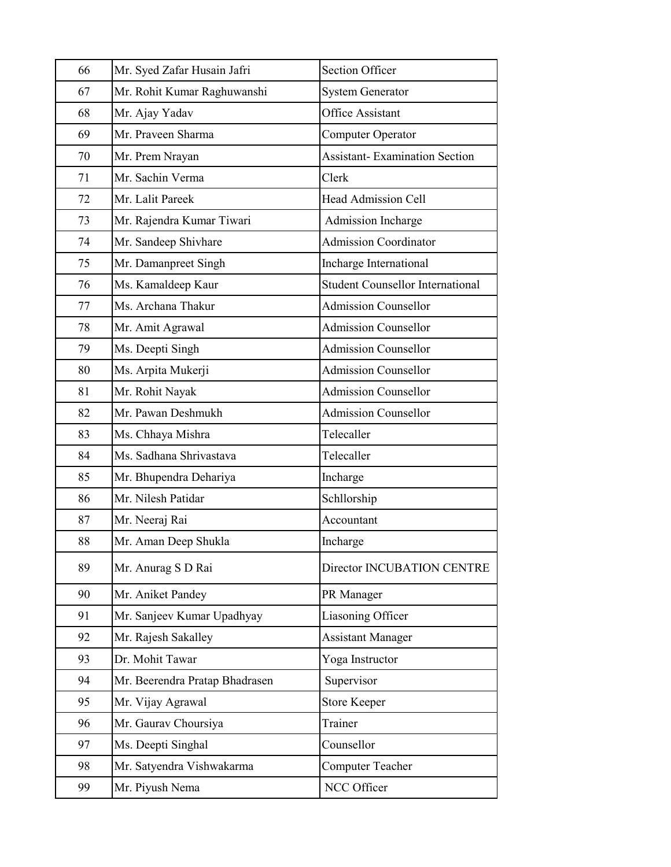| 66 | Mr. Syed Zafar Husain Jafri    | <b>Section Officer</b>                  |
|----|--------------------------------|-----------------------------------------|
| 67 | Mr. Rohit Kumar Raghuwanshi    | <b>System Generator</b>                 |
| 68 | Mr. Ajay Yadav                 | <b>Office Assistant</b>                 |
| 69 | Mr. Praveen Sharma             | Computer Operator                       |
| 70 | Mr. Prem Nrayan                | <b>Assistant-Examination Section</b>    |
| 71 | Mr. Sachin Verma               | Clerk                                   |
| 72 | Mr. Lalit Pareek               | <b>Head Admission Cell</b>              |
| 73 | Mr. Rajendra Kumar Tiwari      | Admission Incharge                      |
| 74 | Mr. Sandeep Shivhare           | <b>Admission Coordinator</b>            |
| 75 | Mr. Damanpreet Singh           | Incharge International                  |
| 76 | Ms. Kamaldeep Kaur             | <b>Student Counsellor International</b> |
| 77 | Ms. Archana Thakur             | <b>Admission Counsellor</b>             |
| 78 | Mr. Amit Agrawal               | <b>Admission Counsellor</b>             |
| 79 | Ms. Deepti Singh               | <b>Admission Counsellor</b>             |
| 80 | Ms. Arpita Mukerji             | <b>Admission Counsellor</b>             |
| 81 | Mr. Rohit Nayak                | <b>Admission Counsellor</b>             |
| 82 | Mr. Pawan Deshmukh             | <b>Admission Counsellor</b>             |
| 83 | Ms. Chhaya Mishra              | Telecaller                              |
| 84 | Ms. Sadhana Shrivastava        | Telecaller                              |
| 85 | Mr. Bhupendra Dehariya         | Incharge                                |
| 86 | Mr. Nilesh Patidar             | Schllorship                             |
| 87 | Mr. Neeraj Rai                 | Accountant                              |
| 88 | Mr. Aman Deep Shukla           | Incharge                                |
| 89 | Mr. Anurag S D Rai             | Director INCUBATION CENTRE              |
| 90 | Mr. Aniket Pandey              | PR Manager                              |
| 91 | Mr. Sanjeev Kumar Upadhyay     | Liasoning Officer                       |
| 92 | Mr. Rajesh Sakalley            | <b>Assistant Manager</b>                |
| 93 | Dr. Mohit Tawar                | Yoga Instructor                         |
| 94 | Mr. Beerendra Pratap Bhadrasen | Supervisor                              |
| 95 | Mr. Vijay Agrawal              | <b>Store Keeper</b>                     |
| 96 | Mr. Gaurav Choursiya           | Trainer                                 |
| 97 | Ms. Deepti Singhal             | Counsellor                              |
| 98 | Mr. Satyendra Vishwakarma      | <b>Computer Teacher</b>                 |
| 99 | Mr. Piyush Nema                | NCC Officer                             |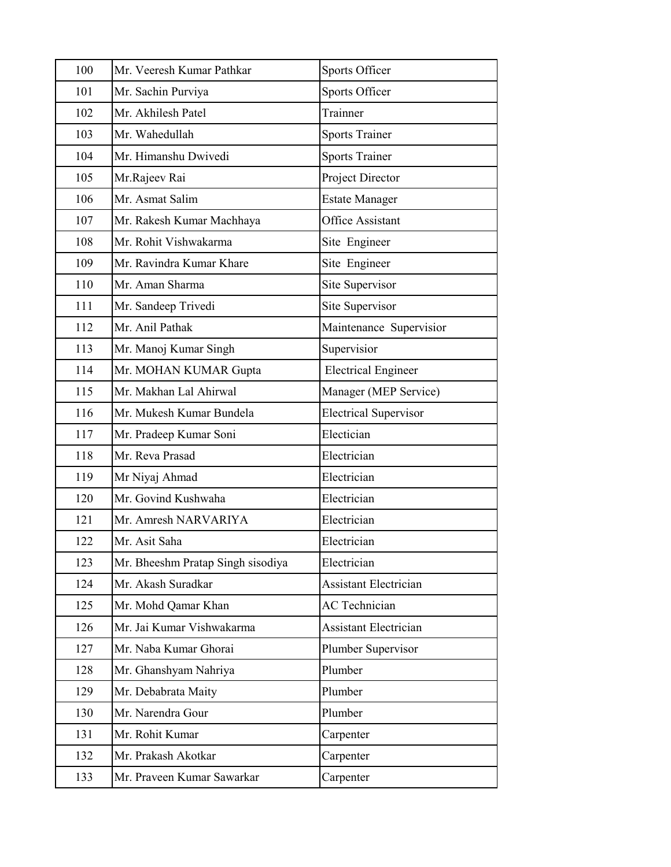| 100 | Mr. Veeresh Kumar Pathkar         | Sports Officer               |
|-----|-----------------------------------|------------------------------|
| 101 | Mr. Sachin Purviya                | Sports Officer               |
| 102 | Mr. Akhilesh Patel                | Trainner                     |
| 103 | Mr. Wahedullah                    | <b>Sports Trainer</b>        |
| 104 | Mr. Himanshu Dwivedi              | <b>Sports Trainer</b>        |
| 105 | Mr.Rajeev Rai                     | Project Director             |
| 106 | Mr. Asmat Salim                   | <b>Estate Manager</b>        |
| 107 | Mr. Rakesh Kumar Machhaya         | Office Assistant             |
| 108 | Mr. Rohit Vishwakarma             | Site Engineer                |
| 109 | Mr. Ravindra Kumar Khare          | Site Engineer                |
| 110 | Mr. Aman Sharma                   | Site Supervisor              |
| 111 | Mr. Sandeep Trivedi               | Site Supervisor              |
| 112 | Mr. Anil Pathak                   | Maintenance Supervisior      |
| 113 | Mr. Manoj Kumar Singh             | Supervisior                  |
| 114 | Mr. MOHAN KUMAR Gupta             | <b>Electrical Engineer</b>   |
| 115 | Mr. Makhan Lal Ahirwal            | Manager (MEP Service)        |
| 116 | Mr. Mukesh Kumar Bundela          | <b>Electrical Supervisor</b> |
| 117 | Mr. Pradeep Kumar Soni            | Electician                   |
| 118 | Mr. Reva Prasad                   | Electrician                  |
| 119 | Mr Niyaj Ahmad                    | Electrician                  |
| 120 | Mr. Govind Kushwaha               | Electrician                  |
| 121 | Mr. Amresh NARVARIYA              | Electrician                  |
| 122 | Mr. Asit Saha                     | Electrician                  |
| 123 | Mr. Bheeshm Pratap Singh sisodiya | Electrician                  |
| 124 | Mr. Akash Suradkar                | Assistant Electrician        |
| 125 | Mr. Mohd Qamar Khan               | <b>AC</b> Technician         |
| 126 | Mr. Jai Kumar Vishwakarma         | <b>Assistant Electrician</b> |
| 127 | Mr. Naba Kumar Ghorai             | Plumber Supervisor           |
| 128 | Mr. Ghanshyam Nahriya             | Plumber                      |
| 129 | Mr. Debabrata Maity               | Plumber                      |
| 130 | Mr. Narendra Gour                 | Plumber                      |
| 131 | Mr. Rohit Kumar                   | Carpenter                    |
| 132 | Mr. Prakash Akotkar               | Carpenter                    |
| 133 | Mr. Praveen Kumar Sawarkar        | Carpenter                    |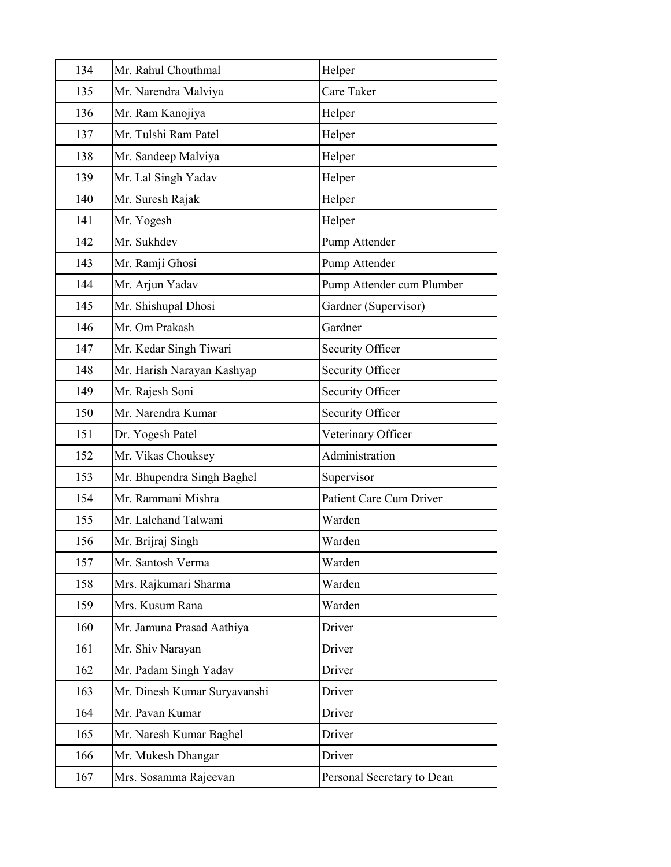| 134 | Mr. Rahul Chouthmal          | Helper                     |
|-----|------------------------------|----------------------------|
| 135 | Mr. Narendra Malviya         | Care Taker                 |
| 136 | Mr. Ram Kanojiya             | Helper                     |
| 137 | Mr. Tulshi Ram Patel         | Helper                     |
| 138 | Mr. Sandeep Malviya          | Helper                     |
| 139 | Mr. Lal Singh Yadav          | Helper                     |
| 140 | Mr. Suresh Rajak             | Helper                     |
| 141 | Mr. Yogesh                   | Helper                     |
| 142 | Mr. Sukhdev                  | Pump Attender              |
| 143 | Mr. Ramji Ghosi              | Pump Attender              |
| 144 | Mr. Arjun Yadav              | Pump Attender cum Plumber  |
| 145 | Mr. Shishupal Dhosi          | Gardner (Supervisor)       |
| 146 | Mr. Om Prakash               | Gardner                    |
| 147 | Mr. Kedar Singh Tiwari       | Security Officer           |
| 148 | Mr. Harish Narayan Kashyap   | Security Officer           |
| 149 | Mr. Rajesh Soni              | Security Officer           |
| 150 | Mr. Narendra Kumar           | Security Officer           |
| 151 | Dr. Yogesh Patel             | Veterinary Officer         |
| 152 | Mr. Vikas Chouksey           | Administration             |
| 153 | Mr. Bhupendra Singh Baghel   | Supervisor                 |
| 154 | Mr. Rammani Mishra           | Patient Care Cum Driver    |
| 155 | Mr. Lalchand Talwani         | Warden                     |
| 156 | Mr. Brijraj Singh            | Warden                     |
| 157 | Mr. Santosh Verma            | Warden                     |
| 158 | Mrs. Rajkumari Sharma        | Warden                     |
| 159 | Mrs. Kusum Rana              | Warden                     |
| 160 | Mr. Jamuna Prasad Aathiya    | Driver                     |
| 161 | Mr. Shiv Narayan             | Driver                     |
| 162 | Mr. Padam Singh Yadav        | Driver                     |
| 163 | Mr. Dinesh Kumar Suryavanshi | Driver                     |
| 164 | Mr. Pavan Kumar              | Driver                     |
| 165 | Mr. Naresh Kumar Baghel      | Driver                     |
| 166 | Mr. Mukesh Dhangar           | Driver                     |
| 167 | Mrs. Sosamma Rajeevan        | Personal Secretary to Dean |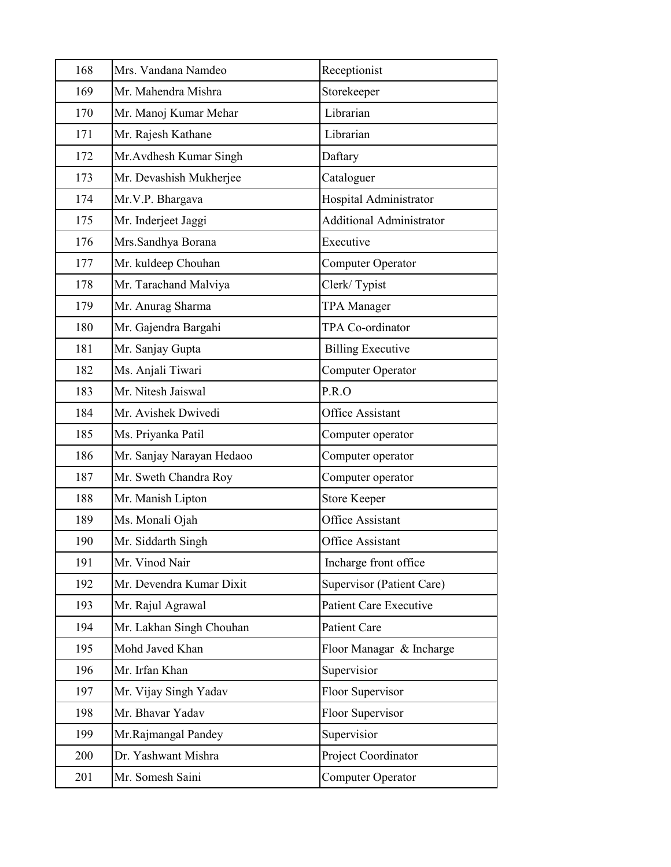| 168 | Mrs. Vandana Namdeo       | Receptionist                  |
|-----|---------------------------|-------------------------------|
| 169 | Mr. Mahendra Mishra       | Storekeeper                   |
| 170 | Mr. Manoj Kumar Mehar     | Librarian                     |
| 171 | Mr. Rajesh Kathane        | Librarian                     |
| 172 | Mr. Avdhesh Kumar Singh   | Daftary                       |
| 173 | Mr. Devashish Mukherjee   | Cataloguer                    |
| 174 | Mr.V.P. Bhargava          | Hospital Administrator        |
| 175 | Mr. Inderjeet Jaggi       | Additional Administrator      |
| 176 | Mrs.Sandhya Borana        | Executive                     |
| 177 | Mr. kuldeep Chouhan       | <b>Computer Operator</b>      |
| 178 | Mr. Tarachand Malviya     | Clerk/Typist                  |
| 179 | Mr. Anurag Sharma         | <b>TPA</b> Manager            |
| 180 | Mr. Gajendra Bargahi      | TPA Co-ordinator              |
| 181 | Mr. Sanjay Gupta          | <b>Billing Executive</b>      |
| 182 | Ms. Anjali Tiwari         | Computer Operator             |
| 183 | Mr. Nitesh Jaiswal        | P.R.O                         |
| 184 | Mr. Avishek Dwivedi       | <b>Office Assistant</b>       |
| 185 | Ms. Priyanka Patil        | Computer operator             |
| 186 | Mr. Sanjay Narayan Hedaoo | Computer operator             |
| 187 | Mr. Sweth Chandra Roy     | Computer operator             |
| 188 | Mr. Manish Lipton         | <b>Store Keeper</b>           |
| 189 | Ms. Monali Ojah           | <b>Office Assistant</b>       |
| 190 | Mr. Siddarth Singh        | <b>Office Assistant</b>       |
| 191 | Mr. Vinod Nair            | Incharge front office         |
| 192 | Mr. Devendra Kumar Dixit  | Supervisor (Patient Care)     |
| 193 | Mr. Rajul Agrawal         | <b>Patient Care Executive</b> |
| 194 | Mr. Lakhan Singh Chouhan  | Patient Care                  |
| 195 | Mohd Javed Khan           | Floor Managar & Incharge      |
| 196 | Mr. Irfan Khan            | Supervisior                   |
| 197 | Mr. Vijay Singh Yadav     | Floor Supervisor              |
| 198 | Mr. Bhavar Yadav          | Floor Supervisor              |
| 199 | Mr.Rajmangal Pandey       | Supervisior                   |
| 200 | Dr. Yashwant Mishra       | Project Coordinator           |
| 201 | Mr. Somesh Saini          | Computer Operator             |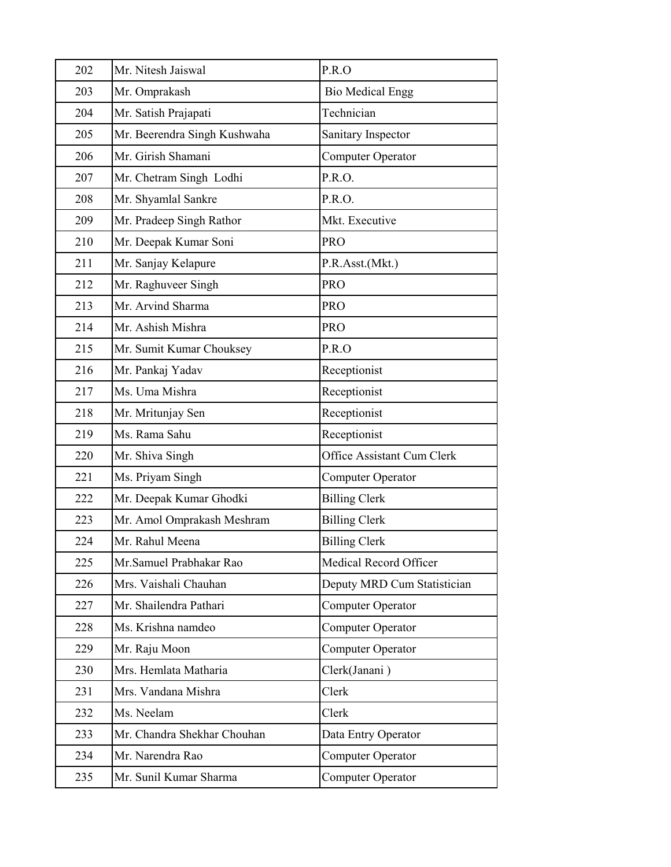| 202 | Mr. Nitesh Jaiswal           | P.R.O                       |
|-----|------------------------------|-----------------------------|
| 203 | Mr. Omprakash                | <b>Bio Medical Engg</b>     |
| 204 | Mr. Satish Prajapati         | Technician                  |
| 205 | Mr. Beerendra Singh Kushwaha | Sanitary Inspector          |
| 206 | Mr. Girish Shamani           | Computer Operator           |
| 207 | Mr. Chetram Singh Lodhi      | P.R.O.                      |
| 208 | Mr. Shyamlal Sankre          | P.R.O.                      |
| 209 | Mr. Pradeep Singh Rathor     | Mkt. Executive              |
| 210 | Mr. Deepak Kumar Soni        | PRO                         |
| 211 | Mr. Sanjay Kelapure          | P.R.Asst.(Mkt.)             |
| 212 | Mr. Raghuveer Singh          | <b>PRO</b>                  |
| 213 | Mr. Arvind Sharma            | <b>PRO</b>                  |
| 214 | Mr. Ashish Mishra            | <b>PRO</b>                  |
| 215 | Mr. Sumit Kumar Chouksey     | P.R.O                       |
| 216 | Mr. Pankaj Yadav             | Receptionist                |
| 217 | Ms. Uma Mishra               | Receptionist                |
| 218 | Mr. Mritunjay Sen            | Receptionist                |
| 219 | Ms. Rama Sahu                | Receptionist                |
| 220 | Mr. Shiva Singh              | Office Assistant Cum Clerk  |
| 221 | Ms. Priyam Singh             | Computer Operator           |
| 222 | Mr. Deepak Kumar Ghodki      | <b>Billing Clerk</b>        |
| 223 | Mr. Amol Omprakash Meshram   | <b>Billing Clerk</b>        |
| 224 | Mr. Rahul Meena              | <b>Billing Clerk</b>        |
| 225 | Mr.Samuel Prabhakar Rao      | Medical Record Officer      |
| 226 | Mrs. Vaishali Chauhan        | Deputy MRD Cum Statistician |
| 227 | Mr. Shailendra Pathari       | Computer Operator           |
| 228 | Ms. Krishna namdeo           | <b>Computer Operator</b>    |
| 229 | Mr. Raju Moon                | Computer Operator           |
| 230 | Mrs. Hemlata Matharia        | Clerk(Janani)               |
| 231 | Mrs. Vandana Mishra          | Clerk                       |
| 232 | Ms. Neelam                   | Clerk                       |
| 233 |                              |                             |
|     | Mr. Chandra Shekhar Chouhan  | Data Entry Operator         |
| 234 | Mr. Narendra Rao             | Computer Operator           |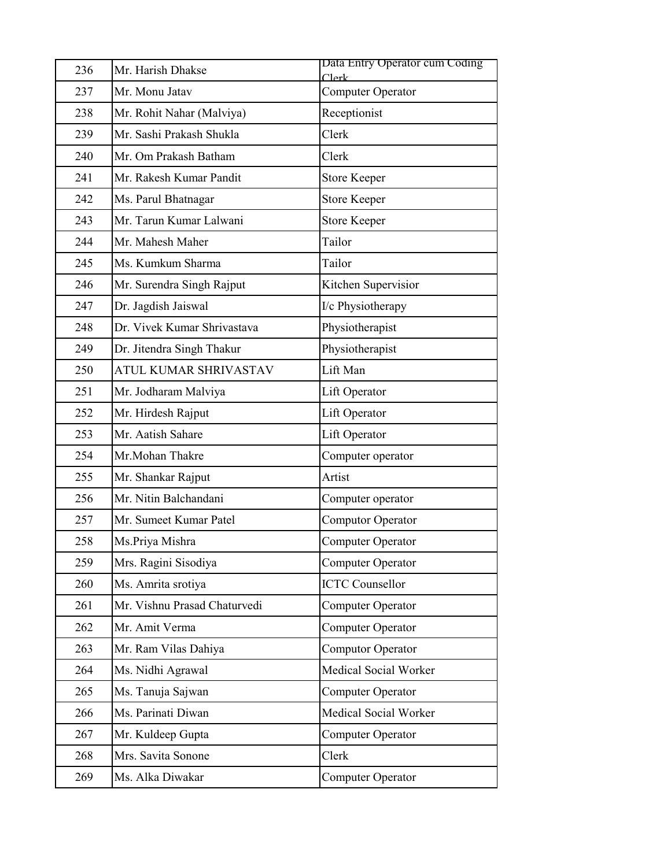| 236 | Mr. Harish Dhakse            | Data Entry Operator cum Coding<br>Clerk |
|-----|------------------------------|-----------------------------------------|
| 237 | Mr. Monu Jatav               | Computer Operator                       |
| 238 | Mr. Rohit Nahar (Malviya)    | Receptionist                            |
| 239 | Mr. Sashi Prakash Shukla     | Clerk                                   |
| 240 | Mr. Om Prakash Batham        | Clerk                                   |
| 241 | Mr. Rakesh Kumar Pandit      | <b>Store Keeper</b>                     |
| 242 | Ms. Parul Bhatnagar          | <b>Store Keeper</b>                     |
| 243 | Mr. Tarun Kumar Lalwani      | <b>Store Keeper</b>                     |
| 244 | Mr. Mahesh Maher             | Tailor                                  |
| 245 | Ms. Kumkum Sharma            | Tailor                                  |
| 246 | Mr. Surendra Singh Rajput    | Kitchen Supervisior                     |
| 247 | Dr. Jagdish Jaiswal          | I/c Physiotherapy                       |
| 248 | Dr. Vivek Kumar Shrivastava  | Physiotherapist                         |
| 249 | Dr. Jitendra Singh Thakur    | Physiotherapist                         |
| 250 | <b>ATUL KUMAR SHRIVASTAV</b> | Lift Man                                |
| 251 | Mr. Jodharam Malviya         | Lift Operator                           |
| 252 | Mr. Hirdesh Rajput           | Lift Operator                           |
| 253 | Mr. Aatish Sahare            | Lift Operator                           |
| 254 | Mr.Mohan Thakre              | Computer operator                       |
| 255 | Mr. Shankar Rajput           | Artist                                  |
| 256 | Mr. Nitin Balchandani        | Computer operator                       |
| 257 | Mr. Sumeet Kumar Patel       | Computor Operator                       |
| 258 | Ms.Priya Mishra              | <b>Computer Operator</b>                |
| 259 | Mrs. Ragini Sisodiya         | Computer Operator                       |
| 260 | Ms. Amrita srotiya           | <b>ICTC Counsellor</b>                  |
| 261 | Mr. Vishnu Prasad Chaturvedi | Computer Operator                       |
| 262 | Mr. Amit Verma               | Computer Operator                       |
| 263 | Mr. Ram Vilas Dahiya         | Computor Operator                       |
| 264 | Ms. Nidhi Agrawal            | Medical Social Worker                   |
| 265 | Ms. Tanuja Sajwan            | <b>Computer Operator</b>                |
| 266 | Ms. Parinati Diwan           | Medical Social Worker                   |
| 267 | Mr. Kuldeep Gupta            | <b>Computer Operator</b>                |
| 268 | Mrs. Savita Sonone           | Clerk                                   |
| 269 | Ms. Alka Diwakar             | <b>Computer Operator</b>                |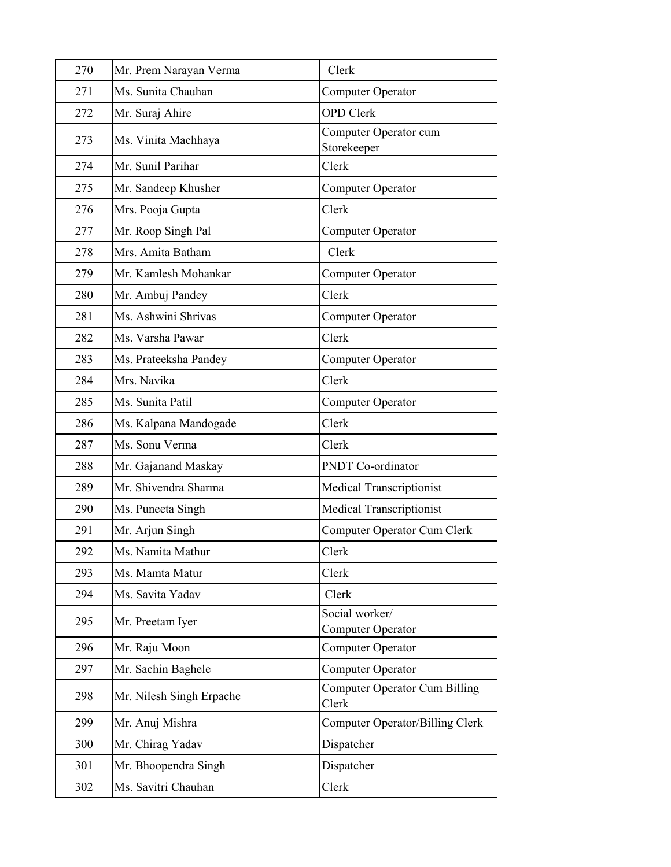| 270 | Mr. Prem Narayan Verma   | Clerk                                  |
|-----|--------------------------|----------------------------------------|
| 271 | Ms. Sunita Chauhan       | Computer Operator                      |
| 272 | Mr. Suraj Ahire          | <b>OPD</b> Clerk                       |
| 273 | Ms. Vinita Machhaya      | Computer Operator cum<br>Storekeeper   |
| 274 | Mr. Sunil Parihar        | Clerk                                  |
| 275 | Mr. Sandeep Khusher      | <b>Computer Operator</b>               |
| 276 | Mrs. Pooja Gupta         | Clerk                                  |
| 277 | Mr. Roop Singh Pal       | Computer Operator                      |
| 278 | Mrs. Amita Batham        | Clerk                                  |
| 279 | Mr. Kamlesh Mohankar     | Computer Operator                      |
| 280 | Mr. Ambuj Pandey         | Clerk                                  |
| 281 | Ms. Ashwini Shrivas      | Computer Operator                      |
| 282 | Ms. Varsha Pawar         | Clerk                                  |
| 283 | Ms. Prateeksha Pandey    | Computer Operator                      |
| 284 | Mrs. Navika              | Clerk                                  |
| 285 | Ms. Sunita Patil         | Computer Operator                      |
| 286 | Ms. Kalpana Mandogade    | Clerk                                  |
| 287 | Ms. Sonu Verma           | Clerk                                  |
| 288 | Mr. Gajanand Maskay      | PNDT Co-ordinator                      |
| 289 | Mr. Shivendra Sharma     | Medical Transcriptionist               |
| 290 | Ms. Puneeta Singh        | <b>Medical Transcriptionist</b>        |
| 291 | Mr. Arjun Singh          | Computer Operator Cum Clerk            |
| 292 | Ms. Namita Mathur        | Clerk                                  |
| 293 | Ms. Mamta Matur          | Clerk                                  |
| 294 | Ms. Savita Yadav         | Clerk                                  |
| 295 | Mr. Preetam Iyer         | Social worker/<br>Computer Operator    |
| 296 | Mr. Raju Moon            | Computer Operator                      |
| 297 | Mr. Sachin Baghele       | Computer Operator                      |
| 298 | Mr. Nilesh Singh Erpache | Computer Operator Cum Billing<br>Clerk |
| 299 | Mr. Anuj Mishra          | <b>Computer Operator/Billing Clerk</b> |
| 300 | Mr. Chirag Yadav         | Dispatcher                             |
| 301 | Mr. Bhoopendra Singh     | Dispatcher                             |
| 302 | Ms. Savitri Chauhan      | Clerk                                  |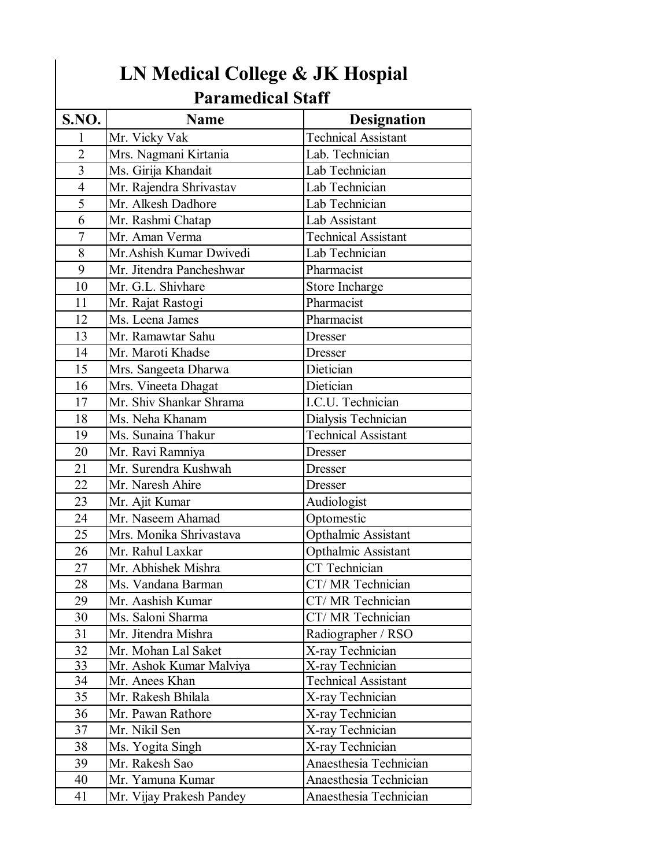| LN Medical College & JK Hospial<br><b>Paramedical Staff</b> |                          |                            |
|-------------------------------------------------------------|--------------------------|----------------------------|
| S.NO.                                                       | <b>Name</b>              | <b>Designation</b>         |
| 1                                                           | Mr. Vicky Vak            | <b>Technical Assistant</b> |
| $\overline{2}$                                              | Mrs. Nagmani Kirtania    | Lab. Technician            |
| 3                                                           | Ms. Girija Khandait      | Lab Technician             |
| $\overline{4}$                                              | Mr. Rajendra Shrivastav  | Lab Technician             |
| 5                                                           | Mr. Alkesh Dadhore       | Lab Technician             |
| 6                                                           | Mr. Rashmi Chatap        | Lab Assistant              |
| 7                                                           | Mr. Aman Verma           | <b>Technical Assistant</b> |
| 8                                                           | Mr. Ashish Kumar Dwivedi | Lab Technician             |
| 9                                                           | Mr. Jitendra Pancheshwar | Pharmacist                 |
| 10                                                          | Mr. G.L. Shivhare        | Store Incharge             |
| 11                                                          | Mr. Rajat Rastogi        | Pharmacist                 |
| 12                                                          | Ms. Leena James          | Pharmacist                 |
| 13                                                          | Mr. Ramawtar Sahu        | <b>Dresser</b>             |
| 14                                                          | Mr. Maroti Khadse        | Dresser                    |
| 15                                                          | Mrs. Sangeeta Dharwa     | Dietician                  |
| 16                                                          | Mrs. Vineeta Dhagat      | Dietician                  |
| 17                                                          | Mr. Shiv Shankar Shrama  | I.C.U. Technician          |
| 18                                                          | Ms. Neha Khanam          | Dialysis Technician        |
| 19                                                          | Ms. Sunaina Thakur       | <b>Technical Assistant</b> |
| 20                                                          | Mr. Ravi Ramniya         | Dresser                    |
| 21                                                          | Mr. Surendra Kushwah     | <b>Dresser</b>             |
| 22                                                          | Mr. Naresh Ahire         | <b>Dresser</b>             |
| 23                                                          | Mr. Ajit Kumar           | Audiologist                |
| 24                                                          | Mr. Naseem Ahamad        | Optomestic                 |
| 25                                                          | Mrs. Monika Shrivastava  | Opthalmic Assistant        |
| 26                                                          | Mr. Rahul Laxkar         | Opthalmic Assistant        |
| 27                                                          | Mr. Abhishek Mishra      | CT Technician              |
| 28                                                          | Ms. Vandana Barman       | CT/MR Technician           |
| 29                                                          | Mr. Aashish Kumar        | CT/MR Technician           |
| 30                                                          | Ms. Saloni Sharma        | CT/ MR Technician          |
| 31                                                          | Mr. Jitendra Mishra      | Radiographer / RSO         |
| 32                                                          | Mr. Mohan Lal Saket      | X-ray Technician           |
| $\overline{33}$                                             | Mr. Ashok Kumar Malviya  | X-ray Technician           |
| 34                                                          | Mr. Anees Khan           | <b>Technical Assistant</b> |
| 35                                                          | Mr. Rakesh Bhilala       | X-ray Technician           |
| 36                                                          | Mr. Pawan Rathore        | X-ray Technician           |
| 37                                                          | Mr. Nikil Sen            | X-ray Technician           |
| 38                                                          | Ms. Yogita Singh         | X-ray Technician           |
| 39                                                          | Mr. Rakesh Sao           | Anaesthesia Technician     |
| 40                                                          | Mr. Yamuna Kumar         | Anaesthesia Technician     |
| 41                                                          | Mr. Vijay Prakesh Pandey | Anaesthesia Technician     |

## **LN Medical College & JK Hospial**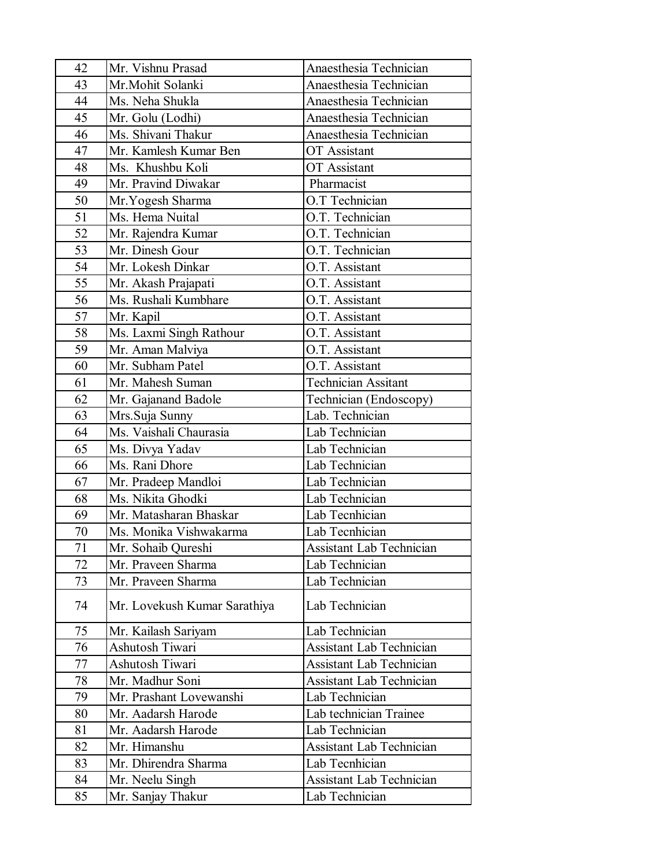| 42 | Mr. Vishnu Prasad            | Anaesthesia Technician          |
|----|------------------------------|---------------------------------|
| 43 | Mr.Mohit Solanki             | Anaesthesia Technician          |
| 44 | Ms. Neha Shukla              | Anaesthesia Technician          |
| 45 | Mr. Golu (Lodhi)             | Anaesthesia Technician          |
| 46 | Ms. Shivani Thakur           | Anaesthesia Technician          |
| 47 | Mr. Kamlesh Kumar Ben        | OT Assistant                    |
| 48 | Ms. Khushbu Koli             | <b>OT</b> Assistant             |
| 49 | Mr. Pravind Diwakar          | Pharmacist                      |
| 50 | Mr. Yogesh Sharma            | O.T Technician                  |
| 51 | Ms. Hema Nuital              | O.T. Technician                 |
| 52 | Mr. Rajendra Kumar           | O.T. Technician                 |
| 53 | Mr. Dinesh Gour              | O.T. Technician                 |
| 54 | Mr. Lokesh Dinkar            | O.T. Assistant                  |
| 55 | Mr. Akash Prajapati          | O.T. Assistant                  |
| 56 | Ms. Rushali Kumbhare         | O.T. Assistant                  |
| 57 | Mr. Kapil                    | O.T. Assistant                  |
| 58 | Ms. Laxmi Singh Rathour      | O.T. Assistant                  |
| 59 | Mr. Aman Malviya             | O.T. Assistant                  |
| 60 | Mr. Subham Patel             | O.T. Assistant                  |
| 61 | Mr. Mahesh Suman             | <b>Technician Assitant</b>      |
| 62 | Mr. Gajanand Badole          | Technician (Endoscopy)          |
| 63 | Mrs.Suja Sunny               | Lab. Technician                 |
| 64 | Ms. Vaishali Chaurasia       | Lab Technician                  |
| 65 | Ms. Divya Yadav              | Lab Technician                  |
| 66 | Ms. Rani Dhore               | Lab Technician                  |
| 67 | Mr. Pradeep Mandloi          | Lab Technician                  |
| 68 | Ms. Nikita Ghodki            | Lab Technician                  |
| 69 | Mr. Matasharan Bhaskar       | Lab Tecnhician                  |
| 70 | Ms. Monika Vishwakarma       | Lab Tecnhician                  |
| 71 | Mr. Sohaib Qureshi           | <b>Assistant Lab Technician</b> |
| 72 | Mr. Praveen Sharma           | Lab Technician                  |
| 73 | Mr. Praveen Sharma           | Lab Technician                  |
| 74 | Mr. Lovekush Kumar Sarathiya | Lab Technician                  |
| 75 | Mr. Kailash Sariyam          | Lab Technician                  |
| 76 | Ashutosh Tiwari              | <b>Assistant Lab Technician</b> |
| 77 | Ashutosh Tiwari              | Assistant Lab Technician        |
| 78 | Mr. Madhur Soni              | <b>Assistant Lab Technician</b> |
| 79 | Mr. Prashant Lovewanshi      | Lab Technician                  |
| 80 | Mr. Aadarsh Harode           | Lab technician Trainee          |
| 81 | Mr. Aadarsh Harode           | Lab Technician                  |
| 82 | Mr. Himanshu                 | <b>Assistant Lab Technician</b> |
| 83 | Mr. Dhirendra Sharma         | Lab Tecnhician                  |
| 84 | Mr. Neelu Singh              | Assistant Lab Technician        |
| 85 | Mr. Sanjay Thakur            | Lab Technician                  |